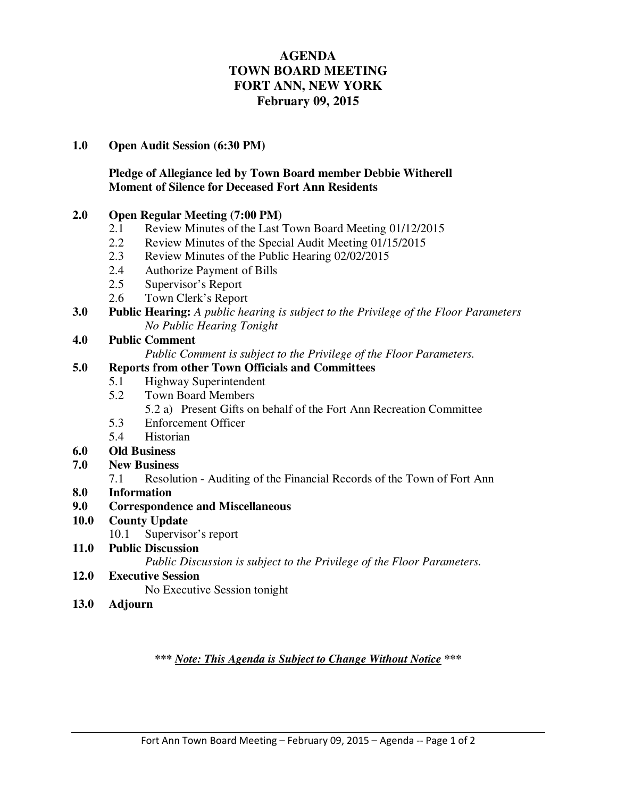# **AGENDA TOWN BOARD MEETING FORT ANN, NEW YORK February 09, 2015**

#### **1.0 Open Audit Session (6:30 PM)**

### **Pledge of Allegiance led by Town Board member Debbie Witherell Moment of Silence for Deceased Fort Ann Residents**

#### **2.0 Open Regular Meeting (7:00 PM)**

- 2.1 Review Minutes of the Last Town Board Meeting 01/12/2015
- 2.2 Review Minutes of the Special Audit Meeting 01/15/2015
- 2.3 Review Minutes of the Public Hearing 02/02/2015
- 2.4 Authorize Payment of Bills
- 2.5 Supervisor's Report
- 2.6 Town Clerk's Report
- **3.0 Public Hearing:** *A public hearing is subject to the Privilege of the Floor Parameters No Public Hearing Tonight*

### **4.0 Public Comment**

*Public Comment is subject to the Privilege of the Floor Parameters.* 

### **5.0 Reports from other Town Officials and Committees**

- 5.1 Highway Superintendent
- 5.2 Town Board Members
	- 5.2 a) Present Gifts on behalf of the Fort Ann Recreation Committee
- 5.3 Enforcement Officer
- 5.4 Historian

### **6.0 Old Business**

- **7.0 New Business** 
	- 7.1 Resolution Auditing of the Financial Records of the Town of Fort Ann
- **8.0 Information**
- **9.0 Correspondence and Miscellaneous**
- **10.0 County Update** 
	- 10.1 Supervisor's report
- **11.0 Public Discussion**

 *Public Discussion is subject to the Privilege of the Floor Parameters.*

#### **12.0 Executive Session**

No Executive Session tonight

**13.0 Adjourn** 

*\*\*\* Note: This Agenda is Subject to Change Without Notice \*\*\**